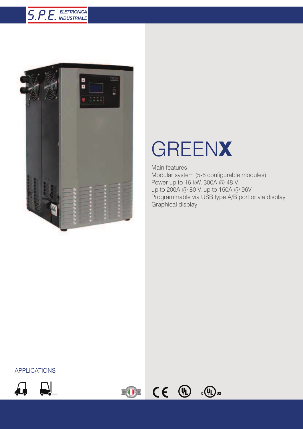



## GREENX

Main features: Modular system (5-6 configurable modules) Power up to 16 kW, 300A @ 48 V, up to 200A @ 80 V, up to 150A @ 96V Programmable via USB type A/B port or via display Graphical display

 $c(\mathbf{u})$ us

## APPLICATIONS